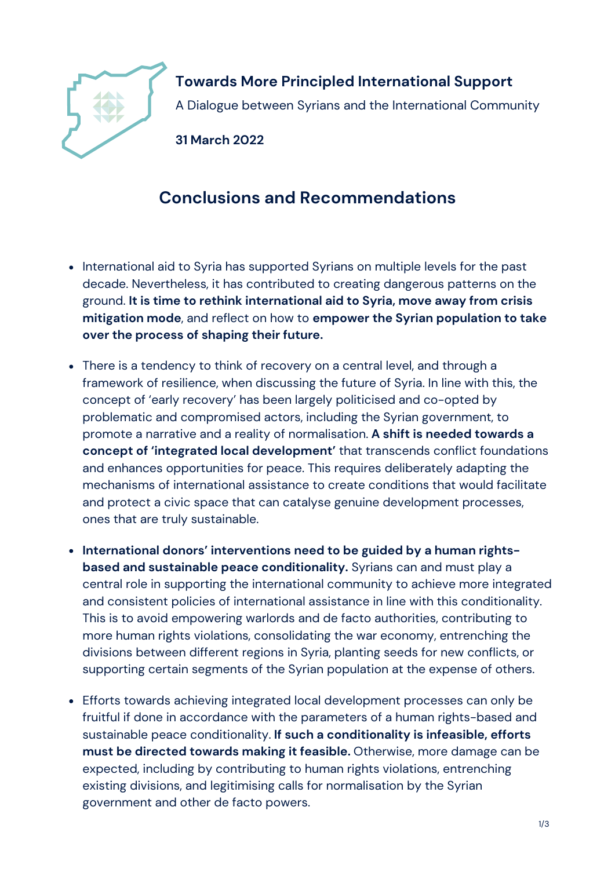

**Towards More Principled International Support** A Dialogue between Syrians and the International Community

**31 March 2022**

## **Conclusions and Recommendations**

- International aid to Syria has supported Syrians on multiple levels for the past decade. Nevertheless, it has contributed to creating dangerous patterns on the ground. **It is time to rethink international aid to Syria, move away from crisis mitigation mode**, and reflect on how to **empower the Syrian population to take over the process of shaping their future.**
- There is a tendency to think of recovery on a central level, and through a framework of resilience, when discussing the future of Syria. In line with this, the concept of 'early recovery' has been largely politicised and co-opted by problematic and compromised actors, including the Syrian government, to promote a narrative and a reality of normalisation. **A shift is needed towards a concept of 'integrated local development'** that transcends conflict foundations and enhances opportunities for peace. This requires deliberately adapting the mechanisms of international assistance to create conditions that would facilitate and protect a civic space that can catalyse genuine development processes, ones that are truly sustainable.
- **International donors' interventions need to be guided by a human rightsbased and sustainable peace conditionality.** Syrians can and must play a central role in supporting the international community to achieve more integrated and consistent policies of international assistance in line with this conditionality. This is to avoid empowering warlords and de facto authorities, contributing to more human rights violations, consolidating the war economy, entrenching the divisions between different regions in Syria, planting seeds for new conflicts, or supporting certain segments of the Syrian population at the expense of others.
- Efforts towards achieving integrated local development processes can only be fruitful if done in accordance with the parameters of a human rights-based and sustainable peace conditionality. **If such a conditionality is infeasible, efforts must be directed towards making it feasible.** Otherwise, more damage can be expected, including by contributing to human rights violations, entrenching existing divisions, and legitimising calls for normalisation by the Syrian government and other de facto powers.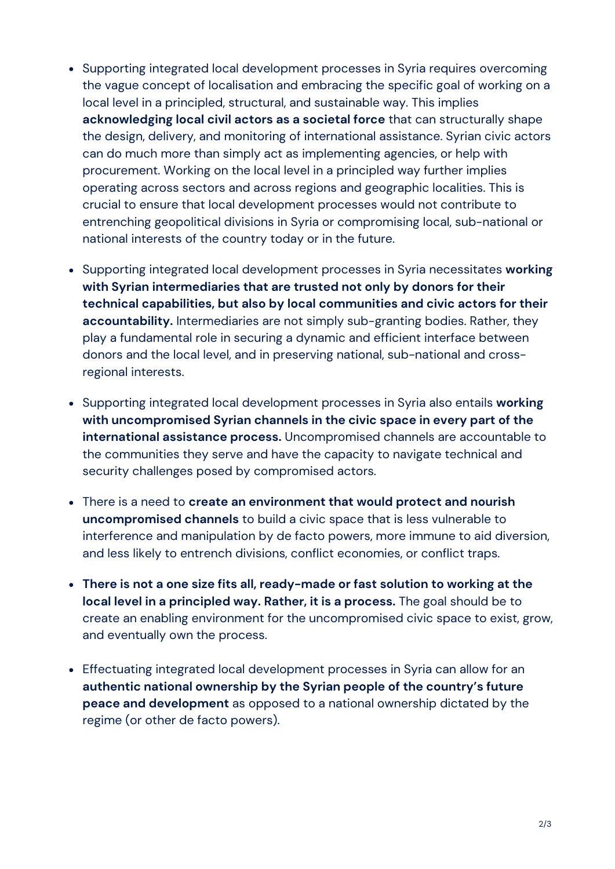- Supporting integrated local development processes in Syria requires overcoming the vague concept of localisation and embracing the specific goal of working on a local level in a principled, structural, and sustainable way. This implies **acknowledging local civil actors as a societal force** that can structurally shape the design, delivery, and monitoring of international assistance. Syrian civic actors can do much more than simply act as implementing agencies, or help with procurement. Working on the local level in a principled way further implies operating across sectors and across regions and geographic localities. This is crucial to ensure that local development processes would not contribute to entrenching geopolitical divisions in Syria or compromising local, sub-national or national interests of the country today or in the future.
- Supporting integrated local development processes in Syria necessitates **working with Syrian intermediaries that are trusted not only by donors for their technical capabilities, but also by local communities and civic actors for their accountability.** Intermediaries are not simply sub-granting bodies. Rather, they play a fundamental role in securing a dynamic and efficient interface between donors and the local level, and in preserving national, sub-national and crossregional interests.
- Supporting integrated local development processes in Syria also entails **working with uncompromised Syrian channels in the civic space in every part of the international assistance process.** Uncompromised channels are accountable to the communities they serve and have the capacity to navigate technical and security challenges posed by compromised actors.
- There is a need to **create an environment that would protect and nourish uncompromised channels** to build a civic space that is less vulnerable to interference and manipulation by de facto powers, more immune to aid diversion, and less likely to entrench divisions, conflict economies, or conflict traps.
- **There is not a one size fits all, ready-made or fast solution to working at the local level in a principled way. Rather, it is a process.** The goal should be to create an enabling environment for the uncompromised civic space to exist, grow, and eventually own the process.
- Effectuating integrated local development processes in Syria can allow for an **authentic national ownership by the Syrian people of the country's future peace and development** as opposed to a national ownership dictated by the regime (or other de facto powers).